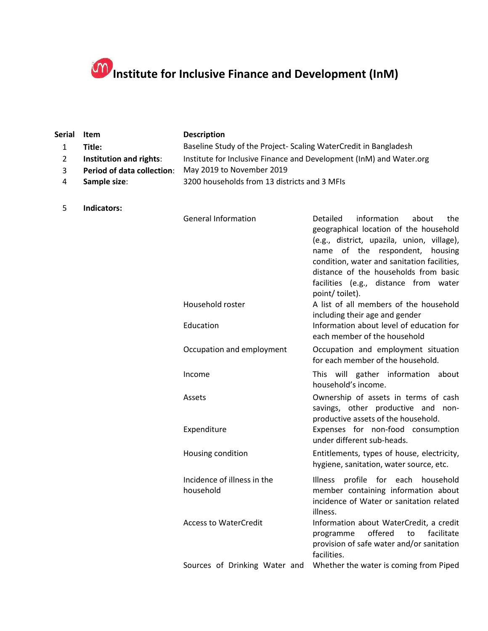## **Institute for Inclusive Finance and Development (InM)**

| Serial       | Item                              | <b>Description</b>                                                  |                                                                                                                                                                                                                                                                                                                           |
|--------------|-----------------------------------|---------------------------------------------------------------------|---------------------------------------------------------------------------------------------------------------------------------------------------------------------------------------------------------------------------------------------------------------------------------------------------------------------------|
| $\mathbf{1}$ | Title:                            | Baseline Study of the Project-Scaling WaterCredit in Bangladesh     |                                                                                                                                                                                                                                                                                                                           |
| 2            | Institution and rights:           | Institute for Inclusive Finance and Development (InM) and Water.org |                                                                                                                                                                                                                                                                                                                           |
| 3            | <b>Period of data collection:</b> | May 2019 to November 2019                                           |                                                                                                                                                                                                                                                                                                                           |
| 4            | Sample size:                      | 3200 households from 13 districts and 3 MFIs                        |                                                                                                                                                                                                                                                                                                                           |
|              |                                   |                                                                     |                                                                                                                                                                                                                                                                                                                           |
| 5            | Indicators:                       |                                                                     |                                                                                                                                                                                                                                                                                                                           |
|              |                                   | <b>General Information</b>                                          | Detailed<br>information<br>about<br>the<br>geographical location of the household<br>(e.g., district, upazila, union, village),<br>name of the respondent,<br>housing<br>condition, water and sanitation facilities,<br>distance of the households from basic<br>facilities (e.g., distance from water<br>point/ toilet). |
|              |                                   | Household roster                                                    | A list of all members of the household<br>including their age and gender                                                                                                                                                                                                                                                  |
|              |                                   | Education                                                           | Information about level of education for<br>each member of the household                                                                                                                                                                                                                                                  |
|              |                                   | Occupation and employment                                           | Occupation and employment situation<br>for each member of the household.                                                                                                                                                                                                                                                  |
|              |                                   | Income                                                              | This will gather information about<br>household's income.                                                                                                                                                                                                                                                                 |
|              |                                   | Assets                                                              | Ownership of assets in terms of cash<br>savings, other productive and non-<br>productive assets of the household.                                                                                                                                                                                                         |
|              |                                   | Expenditure                                                         | Expenses for non-food consumption<br>under different sub-heads.                                                                                                                                                                                                                                                           |
|              |                                   | Housing condition                                                   | Entitlements, types of house, electricity,<br>hygiene, sanitation, water source, etc.                                                                                                                                                                                                                                     |
|              |                                   | Incidence of illness in the<br>household                            | Illness profile for each household<br>member containing information about<br>incidence of Water or sanitation related<br>illness.                                                                                                                                                                                         |
|              |                                   | <b>Access to WaterCredit</b>                                        | Information about WaterCredit, a credit<br>offered<br>facilitate<br>to<br>programme<br>provision of safe water and/or sanitation<br>facilities.                                                                                                                                                                           |
|              |                                   | Sources of Drinking Water and                                       | Whether the water is coming from Piped                                                                                                                                                                                                                                                                                    |